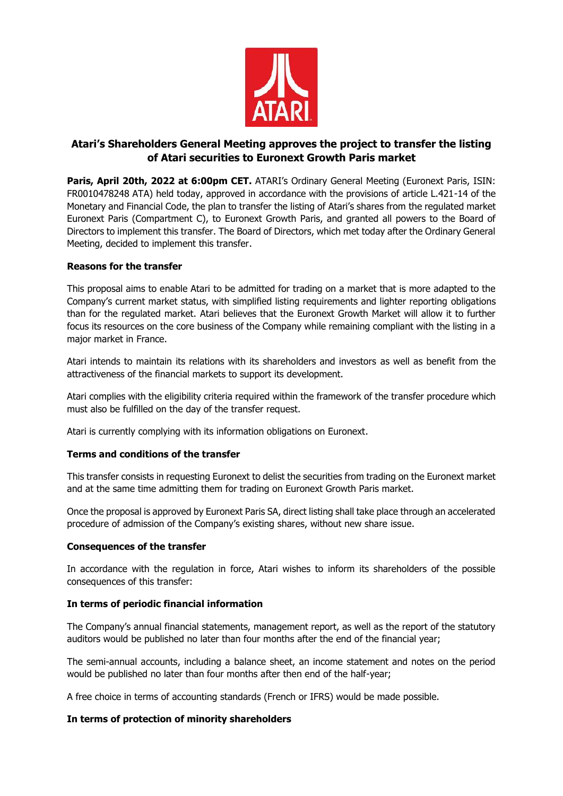

# **Atari's Shareholders General Meeting approves the project to transfer the listing of Atari securities to Euronext Growth Paris market**

**Paris, April 20th, 2022 at 6:00pm CET.** ATARI's Ordinary General Meeting (Euronext Paris, ISIN: FR0010478248 ATA) held today, approved in accordance with the provisions of article L.421-14 of the Monetary and Financial Code, the plan to transfer the listing of Atari's shares from the regulated market Euronext Paris (Compartment C), to Euronext Growth Paris, and granted all powers to the Board of Directors to implement this transfer. The Board of Directors, which met today after the Ordinary General Meeting, decided to implement this transfer.

## **Reasons for the transfer**

This proposal aims to enable Atari to be admitted for trading on a market that is more adapted to the Company's current market status, with simplified listing requirements and lighter reporting obligations than for the regulated market. Atari believes that the Euronext Growth Market will allow it to further focus its resources on the core business of the Company while remaining compliant with the listing in a major market in France.

Atari intends to maintain its relations with its shareholders and investors as well as benefit from the attractiveness of the financial markets to support its development.

Atari complies with the eligibility criteria required within the framework of the transfer procedure which must also be fulfilled on the day of the transfer request.

Atari is currently complying with its information obligations on Euronext.

### **Terms and conditions of the transfer**

This transfer consists in requesting Euronext to delist the securities from trading on the Euronext market and at the same time admitting them for trading on Euronext Growth Paris market.

Once the proposal is approved by Euronext Paris SA, direct listing shall take place through an accelerated procedure of admission of the Company's existing shares, without new share issue.

### **Consequences of the transfer**

In accordance with the regulation in force, Atari wishes to inform its shareholders of the possible consequences of this transfer:

### **In terms of periodic financial information**

The Company's annual financial statements, management report, as well as the report of the statutory auditors would be published no later than four months after the end of the financial year;

The semi-annual accounts, including a balance sheet, an income statement and notes on the period would be published no later than four months after then end of the half-year;

A free choice in terms of accounting standards (French or IFRS) would be made possible.

### **In terms of protection of minority shareholders**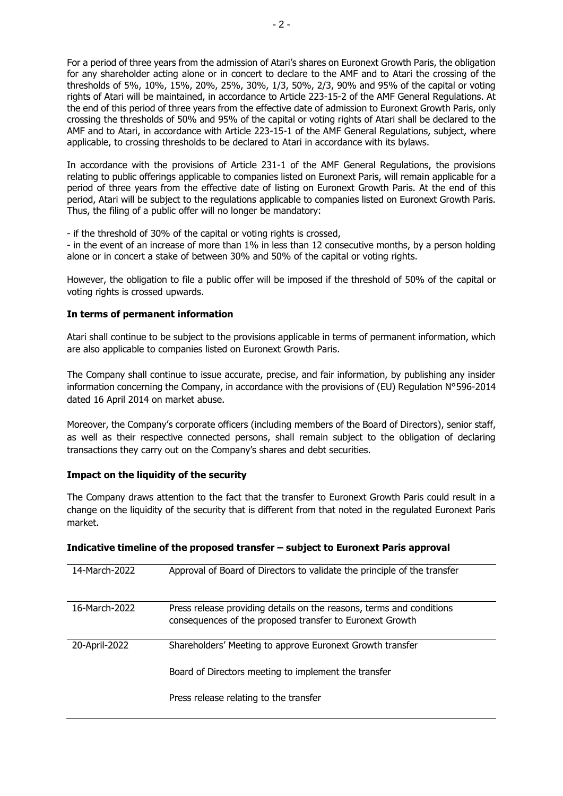For a period of three years from the admission of Atari's shares on Euronext Growth Paris, the obligation for any shareholder acting alone or in concert to declare to the AMF and to Atari the crossing of the thresholds of 5%, 10%, 15%, 20%, 25%, 30%, 1/3, 50%, 2/3, 90% and 95% of the capital or voting rights of Atari will be maintained, in accordance to Article 223-15-2 of the AMF General Regulations. At the end of this period of three years from the effective date of admission to Euronext Growth Paris, only crossing the thresholds of 50% and 95% of the capital or voting rights of Atari shall be declared to the AMF and to Atari, in accordance with Article 223-15-1 of the AMF General Regulations, subject, where applicable, to crossing thresholds to be declared to Atari in accordance with its bylaws.

In accordance with the provisions of Article 231-1 of the AMF General Regulations, the provisions relating to public offerings applicable to companies listed on Euronext Paris, will remain applicable for a period of three years from the effective date of listing on Euronext Growth Paris. At the end of this period, Atari will be subject to the regulations applicable to companies listed on Euronext Growth Paris. Thus, the filing of a public offer will no longer be mandatory:

- if the threshold of 30% of the capital or voting rights is crossed,

- in the event of an increase of more than 1% in less than 12 consecutive months, by a person holding alone or in concert a stake of between 30% and 50% of the capital or voting rights.

However, the obligation to file a public offer will be imposed if the threshold of 50% of the capital or voting rights is crossed upwards.

### **In terms of permanent information**

Atari shall continue to be subject to the provisions applicable in terms of permanent information, which are also applicable to companies listed on Euronext Growth Paris.

The Company shall continue to issue accurate, precise, and fair information, by publishing any insider information concerning the Company, in accordance with the provisions of (EU) Regulation N°596-2014 dated 16 April 2014 on market abuse.

Moreover, the Company's corporate officers (including members of the Board of Directors), senior staff, as well as their respective connected persons, shall remain subject to the obligation of declaring transactions they carry out on the Company's shares and debt securities.

### **Impact on the liquidity of the security**

The Company draws attention to the fact that the transfer to Euronext Growth Paris could result in a change on the liquidity of the security that is different from that noted in the regulated Euronext Paris market.

| Indicative timeline of the proposed transfer - subject to Euronext Paris approval |  |  |
|-----------------------------------------------------------------------------------|--|--|
|-----------------------------------------------------------------------------------|--|--|

| 14-March-2022 | Approval of Board of Directors to validate the principle of the transfer                                                         |
|---------------|----------------------------------------------------------------------------------------------------------------------------------|
| 16-March-2022 | Press release providing details on the reasons, terms and conditions<br>consequences of the proposed transfer to Euronext Growth |
| 20-April-2022 | Shareholders' Meeting to approve Euronext Growth transfer                                                                        |
|               | Board of Directors meeting to implement the transfer                                                                             |
|               | Press release relating to the transfer                                                                                           |